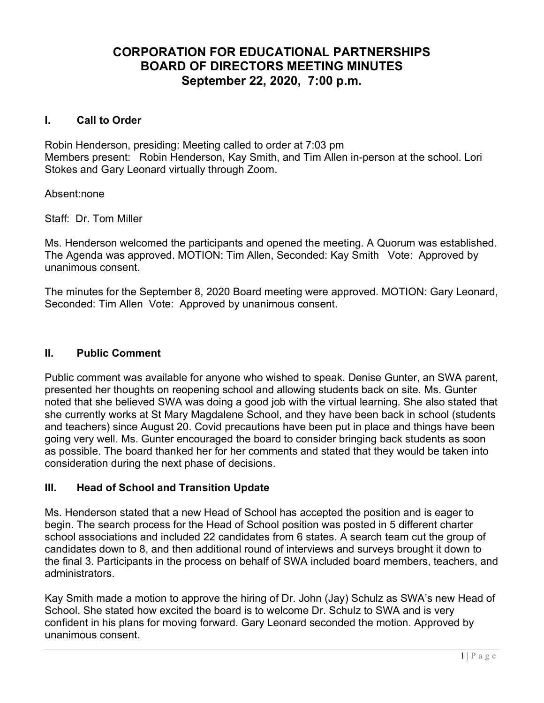# CORPORATION FOR EDUCATIONAL PARTNERSHIPS BOARD OF DIRECTORS MEETING MINUTES September 22, 2020, 7:00 p.m.

### I. Call to Order

Robin Henderson, presiding: Meeting called to order at 7:03 pm Members present: Robin Henderson, Kay Smith, and Tim Allen in-person at the school. Lori Stokes and Gary Leonard virtually through Zoom.

Absent:none

Staff: Dr. Tom Miller

Ms. Henderson welcomed the participants and opened the meeting. A Quorum was established. The Agenda was approved. MOTION: Tim Allen, Seconded: Kay Smith Vote: Approved by unanimous consent.

The minutes for the September 8, 2020 Board meeting were approved. MOTION: Gary Leonard, Seconded: Tim Allen Vote: Approved by unanimous consent.

#### II. Public Comment

Public comment was available for anyone who wished to speak. Denise Gunter, an SWA parent, presented her thoughts on reopening school and allowing students back on site. Ms. Gunter noted that she believed SWA was doing a good job with the virtual learning. She also stated that she currently works at St Mary Magdalene School, and they have been back in school (students and teachers) since August 20. Covid precautions have been put in place and things have been going very well. Ms. Gunter encouraged the board to consider bringing back students as soon as possible. The board thanked her for her comments and stated that they would be taken into consideration during the next phase of decisions.

### III. Head of School and Transition Update

Ms. Henderson stated that a new Head of School has accepted the position and is eager to begin. The search process for the Head of School position was posted in 5 different charter school associations and included 22 candidates from 6 states. A search team cut the group of candidates down to 8, and then additional round of interviews and surveys brought it down to the final 3. Participants in the process on behalf of SWA included board members, teachers, and administrators.

Kay Smith made a motion to approve the hiring of Dr. John (Jay) Schulz as SWA's new Head of School. She stated how excited the board is to welcome Dr. Schulz to SWA and is very confident in his plans for moving forward. Gary Leonard seconded the motion. Approved by unanimous consent.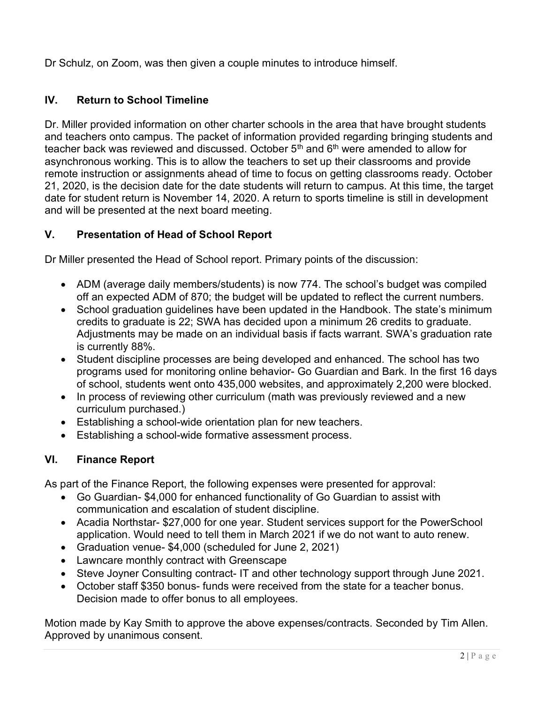Dr Schulz, on Zoom, was then given a couple minutes to introduce himself.

## IV. Return to School Timeline

Dr. Miller provided information on other charter schools in the area that have brought students and teachers onto campus. The packet of information provided regarding bringing students and teacher back was reviewed and discussed. October  $5<sup>th</sup>$  and  $6<sup>th</sup>$  were amended to allow for asynchronous working. This is to allow the teachers to set up their classrooms and provide remote instruction or assignments ahead of time to focus on getting classrooms ready. October 21, 2020, is the decision date for the date students will return to campus. At this time, the target date for student return is November 14, 2020. A return to sports timeline is still in development and will be presented at the next board meeting.

## V. Presentation of Head of School Report

Dr Miller presented the Head of School report. Primary points of the discussion:

- ADM (average daily members/students) is now 774. The school's budget was compiled off an expected ADM of 870; the budget will be updated to reflect the current numbers.
- School graduation guidelines have been updated in the Handbook. The state's minimum credits to graduate is 22; SWA has decided upon a minimum 26 credits to graduate. Adjustments may be made on an individual basis if facts warrant. SWA's graduation rate is currently 88%.
- Student discipline processes are being developed and enhanced. The school has two programs used for monitoring online behavior- Go Guardian and Bark. In the first 16 days of school, students went onto 435,000 websites, and approximately 2,200 were blocked.
- In process of reviewing other curriculum (math was previously reviewed and a new curriculum purchased.)
- Establishing a school-wide orientation plan for new teachers.
- Establishing a school-wide formative assessment process.

## VI. Finance Report

As part of the Finance Report, the following expenses were presented for approval:

- Go Guardian- \$4,000 for enhanced functionality of Go Guardian to assist with communication and escalation of student discipline.
- Acadia Northstar- \$27,000 for one year. Student services support for the PowerSchool application. Would need to tell them in March 2021 if we do not want to auto renew.
- Graduation venue- \$4,000 (scheduled for June 2, 2021)
- Lawncare monthly contract with Greenscape
- Steve Joyner Consulting contract- IT and other technology support through June 2021.
- October staff \$350 bonus- funds were received from the state for a teacher bonus. Decision made to offer bonus to all employees.

Motion made by Kay Smith to approve the above expenses/contracts. Seconded by Tim Allen. Approved by unanimous consent.